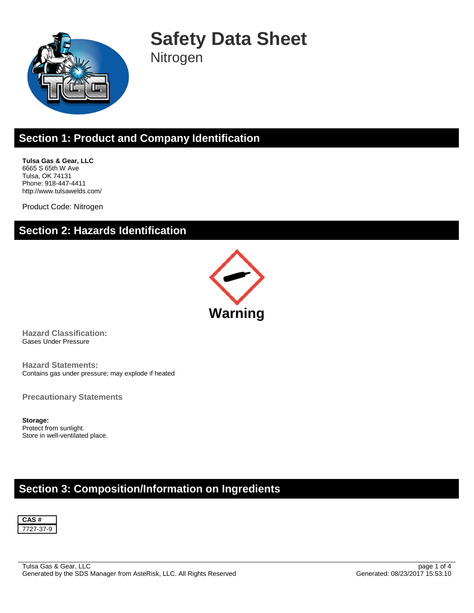

**Safety Data Sheet Nitrogen** 

# **Section 1: Product and Company Identification**

**Tulsa Gas & Gear, LLC** 6665 S 65th W Ave Tulsa, OK 74131 Phone: 918-447-4411 http://www.tulsawelds.com/

Product Code: Nitrogen

### **Section 2: Hazards Identification**



**Hazard Classification:** Gases Under Pressure

**Hazard Statements:** Contains gas under pressure; may explode if heated

**Precautionary Statements**

**Storage:** Protect from sunlight. Store in well-ventilated place.

### **Section 3: Composition/Information on Ingredients**

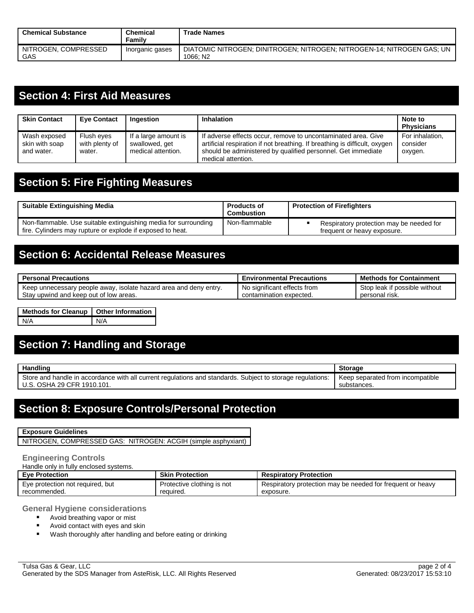| <b>Chemical Substance</b>   | <b>Chemical</b><br>Family | Trade Names                                                                                    |
|-----------------------------|---------------------------|------------------------------------------------------------------------------------------------|
| NITROGEN, COMPRESSED<br>GAS | Inorganic gases           | DIATOMIC NITROGEN: DINITROGEN: NITROGEN: NITROGEN-14: NITROGEN GAS: UN<br>1066: N <sub>2</sub> |

### **Section 4: First Aid Measures**

| <b>Skin Contact</b>                          | <b>Eve Contact</b>                     | <b>Ingestion</b>                                             | <b>Inhalation</b>                                                                                                                                                                                                                 | Note to<br><b>Physicians</b>           |
|----------------------------------------------|----------------------------------------|--------------------------------------------------------------|-----------------------------------------------------------------------------------------------------------------------------------------------------------------------------------------------------------------------------------|----------------------------------------|
| Wash exposed<br>skin with soap<br>and water. | Flush eyes<br>with plenty of<br>water. | If a large amount is<br>swallowed, get<br>medical attention. | If adverse effects occur, remove to uncontaminated area. Give<br>artificial respiration if not breathing. If breathing is difficult, oxygen<br>should be administered by qualified personnel. Get immediate<br>medical attention. | For inhalation,<br>consider<br>oxygen. |

## **Section 5: Fire Fighting Measures**

| <b>Suitable Extinguishing Media</b>                                                                                           | <b>Products of</b><br>Combustion | <b>Protection of Firefighters</b>                                       |
|-------------------------------------------------------------------------------------------------------------------------------|----------------------------------|-------------------------------------------------------------------------|
| Non-flammable. Use suitable extinguishing media for surrounding<br>fire. Cylinders may rupture or explode if exposed to heat. | Non-flammable                    | Respiratory protection may be needed for<br>frequent or heavy exposure. |

### **Section 6: Accidental Release Measures**

| <b>Personal Precautions</b>                                       | <b>Environmental Precautions</b> | <b>Methods for Containment</b> |
|-------------------------------------------------------------------|----------------------------------|--------------------------------|
| Keep unnecessary people away, isolate hazard area and deny entry. | No significant effects from      | Stop leak if possible without  |
| Stay upwind and keep out of low areas.                            | contamination expected.          | personal risk.                 |

**Methods for Cleanup Other Information** N/A N/A

# **Section 7: Handling and Storage**

| Handling                                                                                                   | Storage                          |
|------------------------------------------------------------------------------------------------------------|----------------------------------|
| Store and handle in accordance with all current regulations and standards. Subject to storage regulations: | Keep separated from incompatible |
| U.S. OSHA 29 CFR 1910.101.                                                                                 | substances.                      |

## **Section 8: Exposure Controls/Personal Protection**

#### **Exposure Guidelines**

NITROGEN, COMPRESSED GAS: NITROGEN: ACGIH (simple asphyxiant)

#### **Engineering Controls**

Handle only in fully enclosed systems.

| <b>Eve Protection</b>            | <b>Skin Protection</b>     | <b>Respiratory Protection</b>                              |
|----------------------------------|----------------------------|------------------------------------------------------------|
| Eye protection not required, but | Protective clothing is not | Respiratory protection may be needed for frequent or heavy |
| recommended.                     | reauired.                  | exposure.                                                  |

**General Hygiene considerations**

- **Avoid breathing vapor or mist**
- **Avoid contact with eyes and skin**
- **Wash thoroughly after handling and before eating or drinking**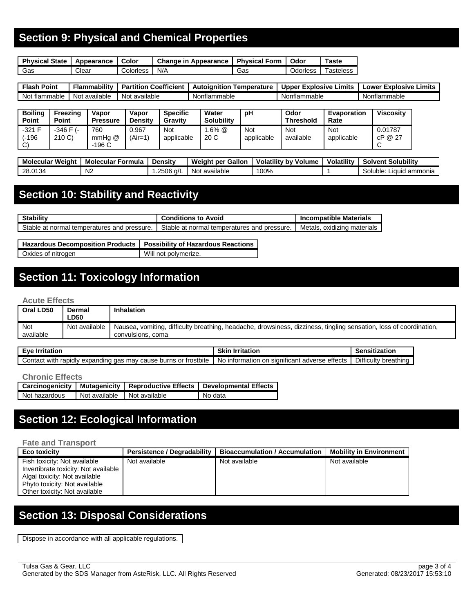# **Section 9: Physical and Chemical Properties**

| <b>Physical State</b> | Appearance | Color     | <b>Change in Appearance</b> | <b>Physical Form</b> | Odor     | Taste     |
|-----------------------|------------|-----------|-----------------------------|----------------------|----------|-----------|
| Gas                   | Clear      | Colorless | N/A                         | Gas                  | Odorless | ⊺asteless |

| Point<br>™lash.  | <br><sup>≂</sup> lammabilitv | Coefficient<br>Partition | Autoianition<br><b>Femperature</b> | Limits<br>Upper<br>' Explosive L | <b>Explosive Limits</b><br>∟ower |
|------------------|------------------------------|--------------------------|------------------------------------|----------------------------------|----------------------------------|
| Not<br>tlammable | available<br>Not             | Not available            | Nonflammable                       | ำmable<br>Nor<br>⊥iflamm         | Nonflammable                     |

| <b>Boiling</b><br><b>Point</b>    | Freezina<br><b>Point</b> | Vapor<br><b>Pressure</b> | Vapor<br><b>Density</b> | <b>Specific</b><br>Gravity | Water<br><b>Solubility</b> | рH                | Odor<br><b>Threshold</b> | <b>Evaporation</b><br>Rate | <b>Viscosity</b>        |
|-----------------------------------|--------------------------|--------------------------|-------------------------|----------------------------|----------------------------|-------------------|--------------------------|----------------------------|-------------------------|
| $-321$ F<br>(-196<br>$\mathbf{C}$ | $-346$ F $(-)$<br>210 C) | 760<br>mmHa @<br>$-196C$ | 0.967<br>(Air=1)        | Not<br>applicable          | $.6\%$ @<br>20 C           | Not<br>applicable | Not<br>available         | <b>Not</b><br>applicable   | 0.01787<br>cP @ 27<br>◡ |

| Weiaht<br><b>Molecular</b> | <b>Molecular</b><br><sup>.</sup> Formula | Density      | Weight per<br>Gallon | <b>Volatility by Volume</b> | Volatility | ∶ Solubilit <b>v</b><br>Solvent |
|----------------------------|------------------------------------------|--------------|----------------------|-----------------------------|------------|---------------------------------|
| 28.0134                    | N <sub>2</sub>                           | 2506<br>≒a/L | Not available        | 00%                         |            | Soluble:<br>Liauid<br>ammonia   |

## **Section 10: Stability and Reactivity**

| <b>Stability</b>                            | <b>Conditions to Avoid</b>                  | <b>Incompatible Materials</b>  |
|---------------------------------------------|---------------------------------------------|--------------------------------|
| Stable at normal temperatures and pressure. | Stable at normal temperatures and pressure. | Metals.<br>oxidizing materials |

| Hazardous Decomposition Products   Possibility of Hazardous Reactions |                      |
|-----------------------------------------------------------------------|----------------------|
| Oxides of nitrogen                                                    | Will not polymerize. |

# **Section 11: Toxicology Information**

#### **Acute Effects**

| Oral LD50        | Dermal<br>∟D50 | Inhalation                                                                                                                              |
|------------------|----------------|-----------------------------------------------------------------------------------------------------------------------------------------|
| Not<br>available | Not available  | Nausea, vomiting, difficulty breathing, headache, drowsiness, dizziness, tingling sensation, loss of coordination,<br>convulsions, coma |

| Eve.<br>ritation<br>- Ir                                                                    | <b>Skin</b><br><b>Irritation</b>                                           | iensitization<br>o.      |
|---------------------------------------------------------------------------------------------|----------------------------------------------------------------------------|--------------------------|
| frostbite<br>rapidly<br>burns<br>with<br>. or<br>Contact<br>' expandıng qas<br>cause<br>mav | .<br><br>ettects<br>significant<br>adverse<br>or<br>infori<br>nation<br>NC | Difficulty<br>∵breathino |

**Chronic Effects**

|               |               |               | Carcinogenicity   Mutagenicity   Reproductive Effects   Developmental Effects |
|---------------|---------------|---------------|-------------------------------------------------------------------------------|
| Not hazardous | Not available | Not available | No data                                                                       |

# **Section 12: Ecological Information**

#### **Fate and Transport**

| <b>Eco toxicity</b>                  | <b>Persistence / Degradability</b> | <b>Bioaccumulation / Accumulation</b> | <b>Mobility in Environment</b> |
|--------------------------------------|------------------------------------|---------------------------------------|--------------------------------|
| Fish toxicity: Not available         | Not available                      | Not available                         | Not available                  |
| Invertibrate toxicity: Not available |                                    |                                       |                                |
| Algal toxicity: Not available        |                                    |                                       |                                |
| Phyto toxicity: Not available        |                                    |                                       |                                |
| Other toxicity: Not available        |                                    |                                       |                                |

# **Section 13: Disposal Considerations**

Dispose in accordance with all applicable regulations.